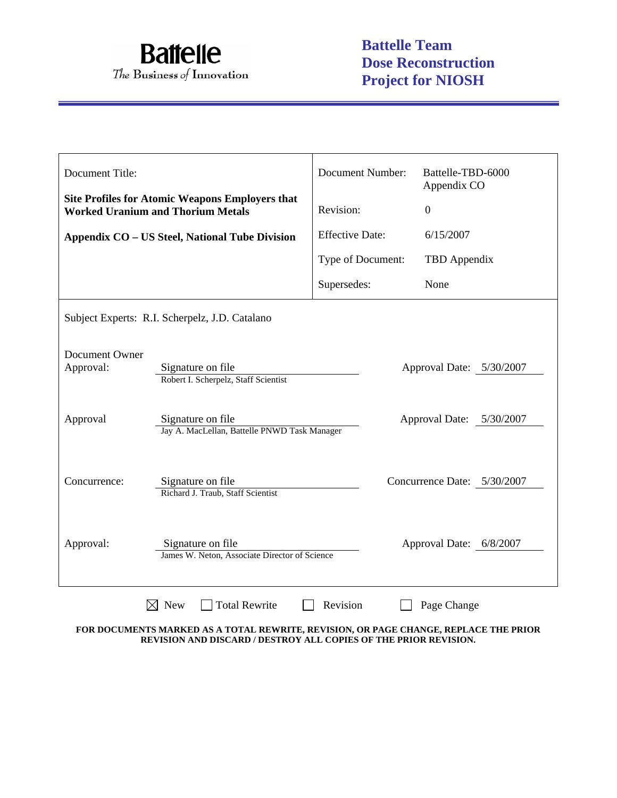

| Document Title:                                                                                    |                                                                                               | <b>Document Number:</b> | Battelle-TBD-6000<br>Appendix CO |  |  |
|----------------------------------------------------------------------------------------------------|-----------------------------------------------------------------------------------------------|-------------------------|----------------------------------|--|--|
| <b>Site Profiles for Atomic Weapons Employers that</b><br><b>Worked Uranium and Thorium Metals</b> |                                                                                               | Revision:               | $\overline{0}$                   |  |  |
|                                                                                                    | Appendix CO - US Steel, National Tube Division                                                | <b>Effective Date:</b>  | 6/15/2007                        |  |  |
|                                                                                                    |                                                                                               | Type of Document:       | TBD Appendix                     |  |  |
|                                                                                                    |                                                                                               | Supersedes:             | None                             |  |  |
|                                                                                                    | Subject Experts: R.I. Scherpelz, J.D. Catalano                                                |                         |                                  |  |  |
| Document Owner<br>Approval:                                                                        | Signature on file<br>Robert I. Scherpelz, Staff Scientist                                     |                         | Approval Date: 5/30/2007         |  |  |
| Approval                                                                                           | Signature on file<br>Approval Date: 5/30/2007<br>Jay A. MacLellan, Battelle PNWD Task Manager |                         |                                  |  |  |
| Concurrence:                                                                                       | Signature on file<br>Richard J. Traub, Staff Scientist                                        |                         | Concurrence Date: 5/30/2007      |  |  |
| Approval:                                                                                          | Signature on file<br>James W. Neton, Associate Director of Science                            |                         | Approval Date: 6/8/2007          |  |  |
|                                                                                                    | <b>Total Rewrite</b><br><b>New</b>                                                            | Revision                | Page Change                      |  |  |

**FOR DOCUMENTS MARKED AS A TOTAL REWRITE, REVISION, OR PAGE CHANGE, REPLACE THE PRIOR REVISION AND DISCARD / DESTROY ALL COPIES OF THE PRIOR REVISION.**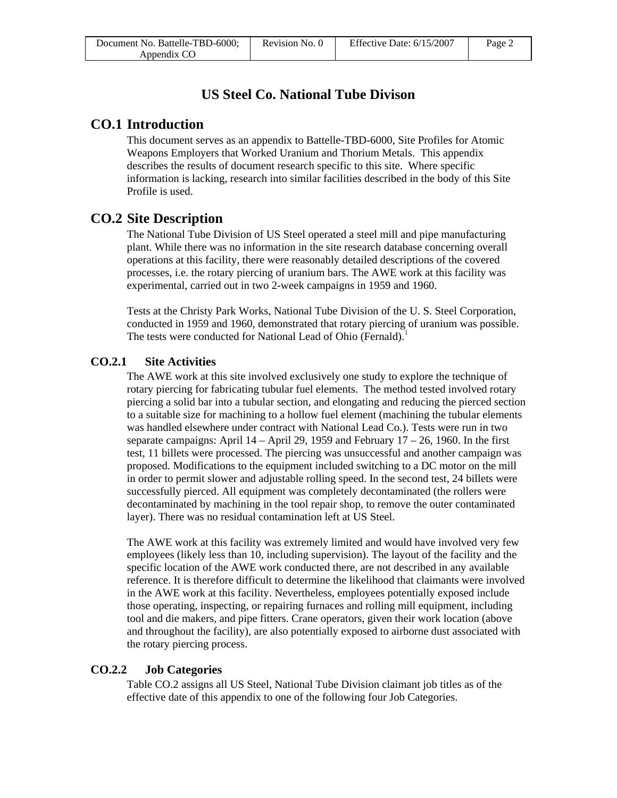# **US Steel Co. National Tube Divison**

# **CO.1 Introduction**

This document serves as an appendix to Battelle-TBD-6000, Site Profiles for Atomic Weapons Employers that Worked Uranium and Thorium Metals. This appendix describes the results of document research specific to this site. Where specific information is lacking, research into similar facilities described in the body of this Site Profile is used.

# **CO.2 Site Description**

The National Tube Division of US Steel operated a steel mill and pipe manufacturing plant. While there was no information in the site research database concerning overall operations at this facility, there were reasonably detailed descriptions of the covered processes, i.e. the rotary piercing of uranium bars. The AWE work at this facility was experimental, carried out in two 2-week campaigns in 1959 and 1960.

Tests at the Christy Park Works, National Tube Division of the U. S. Steel Corporation, conducted in 1959 and 1960, demonstrated that rotary piercing of uranium was possible. The tests were conducted for National Lead of Ohio (Fernald).<sup>1</sup>

## **CO.2.1 Site Activities**

The AWE work at this site involved exclusively one study to explore the technique of rotary piercing for fabricating tubular fuel elements. The method tested involved rotary piercing a solid bar into a tubular section, and elongating and reducing the pierced section to a suitable size for machining to a hollow fuel element (machining the tubular elements was handled elsewhere under contract with National Lead Co.). Tests were run in two separate campaigns: April  $14 -$ April 29, 1959 and February  $17 - 26$ , 1960. In the first test, 11 billets were processed. The piercing was unsuccessful and another campaign was proposed. Modifications to the equipment included switching to a DC motor on the mill in order to permit slower and adjustable rolling speed. In the second test, 24 billets were successfully pierced. All equipment was completely decontaminated (the rollers were decontaminated by machining in the tool repair shop, to remove the outer contaminated layer). There was no residual contamination left at US Steel.

The AWE work at this facility was extremely limited and would have involved very few employees (likely less than 10, including supervision). The layout of the facility and the specific location of the AWE work conducted there, are not described in any available reference. It is therefore difficult to determine the likelihood that claimants were involved in the AWE work at this facility. Nevertheless, employees potentially exposed include those operating, inspecting, or repairing furnaces and rolling mill equipment, including tool and die makers, and pipe fitters. Crane operators, given their work location (above and throughout the facility), are also potentially exposed to airborne dust associated with the rotary piercing process.

## **CO.2.2 Job Categories**

Table CO.2 assigns all US Steel, National Tube Division claimant job titles as of the effective date of this appendix to one of the following four Job Categories.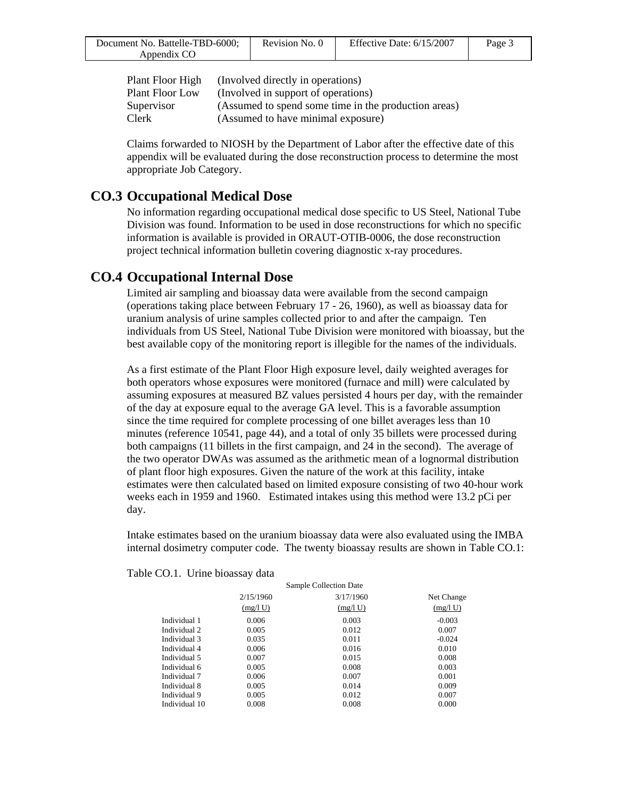| Document No. Battelle-TBD-6000; | Revision No. 0 | Effective Date: 6/15/2007 | Page 3 |
|---------------------------------|----------------|---------------------------|--------|
| Appendix CO                     |                |                           |        |

| Plant Floor High | (Involved directly in operations)                    |
|------------------|------------------------------------------------------|
| Plant Floor Low  | (Involved in support of operations)                  |
| Supervisor       | (Assumed to spend some time in the production areas) |
| Clerk            | (Assumed to have minimal exposure)                   |

Claims forwarded to NIOSH by the Department of Labor after the effective date of this appendix will be evaluated during the dose reconstruction process to determine the most appropriate Job Category.

## **CO.3 Occupational Medical Dose**

No information regarding occupational medical dose specific to US Steel, National Tube Division was found. Information to be used in dose reconstructions for which no specific information is available is provided in ORAUT-OTIB-0006, the dose reconstruction project technical information bulletin covering diagnostic x-ray procedures.

# **CO.4 Occupational Internal Dose**

Limited air sampling and bioassay data were available from the second campaign (operations taking place between February 17 - 26, 1960), as well as bioassay data for uranium analysis of urine samples collected prior to and after the campaign. Ten individuals from US Steel, National Tube Division were monitored with bioassay, but the best available copy of the monitoring report is illegible for the names of the individuals.

As a first estimate of the Plant Floor High exposure level, daily weighted averages for both operators whose exposures were monitored (furnace and mill) were calculated by assuming exposures at measured BZ values persisted 4 hours per day, with the remainder of the day at exposure equal to the average GA level. This is a favorable assumption since the time required for complete processing of one billet averages less than 10 minutes (reference 10541, page 44), and a total of only 35 billets were processed during both campaigns (11 billets in the first campaign, and 24 in the second). The average of the two operator DWAs was assumed as the arithmetic mean of a lognormal distribution of plant floor high exposures. Given the nature of the work at this facility, intake estimates were then calculated based on limited exposure consisting of two 40-hour work weeks each in 1959 and 1960. Estimated intakes using this method were 13.2 pCi per day.

Intake estimates based on the uranium bioassay data were also evaluated using the IMBA internal dosimetry computer code. The twenty bioassay results are shown in Table CO.1:

|               |           | Sample Collection Date |            |
|---------------|-----------|------------------------|------------|
|               | 2/15/1960 | 3/17/1960              | Net Change |
|               | (mg/l U)  | (mg/l U)               | (mg/l U)   |
| Individual 1  | 0.006     | 0.003                  | $-0.003$   |
| Individual 2  | 0.005     | 0.012                  | 0.007      |
| Individual 3  | 0.035     | 0.011                  | $-0.024$   |
| Individual 4  | 0.006     | 0.016                  | 0.010      |
| Individual 5  | 0.007     | 0.015                  | 0.008      |
| Individual 6  | 0.005     | 0.008                  | 0.003      |
| Individual 7  | 0.006     | 0.007                  | 0.001      |
| Individual 8  | 0.005     | 0.014                  | 0.009      |
| Individual 9  | 0.005     | 0.012                  | 0.007      |
| Individual 10 | 0.008     | 0.008                  | 0.000      |

Table CO.1. Urine bioassay data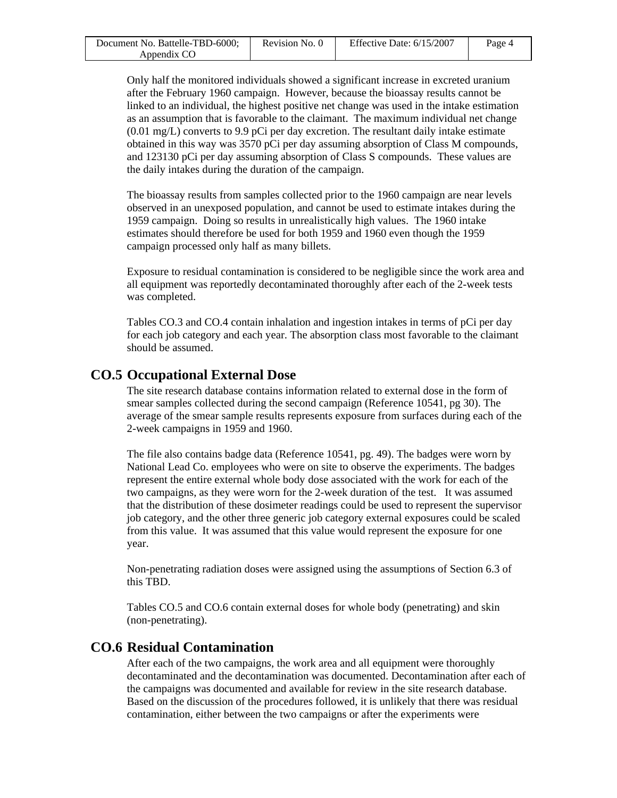| Document No. Battelle-TBD-6000; | Revision No. 0 | Effective Date: $6/15/2007$ | Page 4 |
|---------------------------------|----------------|-----------------------------|--------|
| Appendix CO                     |                |                             |        |

Only half the monitored individuals showed a significant increase in excreted uranium after the February 1960 campaign. However, because the bioassay results cannot be linked to an individual, the highest positive net change was used in the intake estimation as an assumption that is favorable to the claimant. The maximum individual net change (0.01 mg/L) converts to 9.9 pCi per day excretion. The resultant daily intake estimate obtained in this way was 3570 pCi per day assuming absorption of Class M compounds, and 123130 pCi per day assuming absorption of Class S compounds. These values are the daily intakes during the duration of the campaign.

The bioassay results from samples collected prior to the 1960 campaign are near levels observed in an unexposed population, and cannot be used to estimate intakes during the 1959 campaign. Doing so results in unrealistically high values. The 1960 intake estimates should therefore be used for both 1959 and 1960 even though the 1959 campaign processed only half as many billets.

Exposure to residual contamination is considered to be negligible since the work area and all equipment was reportedly decontaminated thoroughly after each of the 2-week tests was completed.

Tables CO.3 and CO.4 contain inhalation and ingestion intakes in terms of pCi per day for each job category and each year. The absorption class most favorable to the claimant should be assumed.

## **CO.5 Occupational External Dose**

The site research database contains information related to external dose in the form of smear samples collected during the second campaign (Reference 10541, pg 30). The average of the smear sample results represents exposure from surfaces during each of the 2-week campaigns in 1959 and 1960.

The file also contains badge data (Reference 10541, pg. 49). The badges were worn by National Lead Co. employees who were on site to observe the experiments. The badges represent the entire external whole body dose associated with the work for each of the two campaigns, as they were worn for the 2-week duration of the test. It was assumed that the distribution of these dosimeter readings could be used to represent the supervisor job category, and the other three generic job category external exposures could be scaled from this value. It was assumed that this value would represent the exposure for one year.

Non-penetrating radiation doses were assigned using the assumptions of Section 6.3 of this TBD.

Tables CO.5 and CO.6 contain external doses for whole body (penetrating) and skin (non-penetrating).

## **CO.6 Residual Contamination**

After each of the two campaigns, the work area and all equipment were thoroughly decontaminated and the decontamination was documented. Decontamination after each of the campaigns was documented and available for review in the site research database. Based on the discussion of the procedures followed, it is unlikely that there was residual contamination, either between the two campaigns or after the experiments were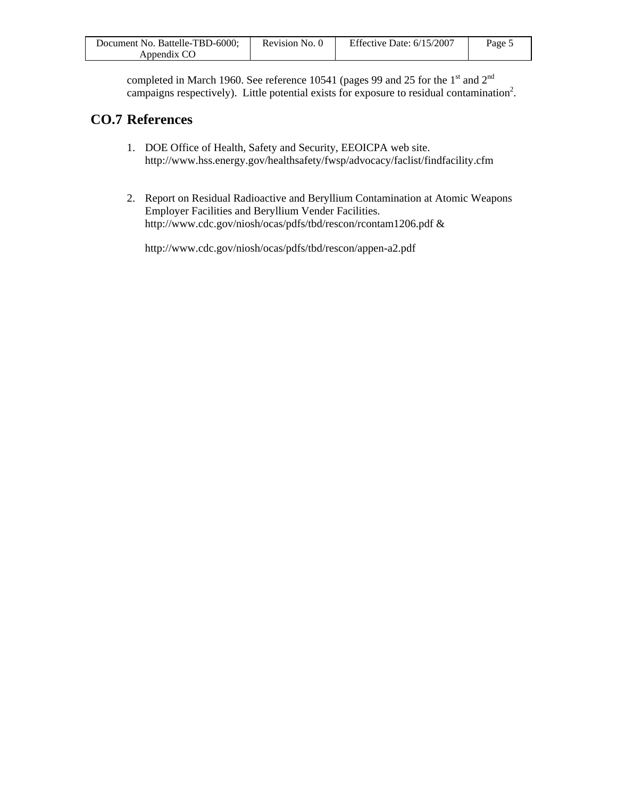| Document No. Battelle-TBD-6000; | Revision No. 0 | Effective Date: $6/15/2007$ | Page 5 |
|---------------------------------|----------------|-----------------------------|--------|
| Appendix CO                     |                |                             |        |

completed in March 1960. See reference 10541 (pages 99 and 25 for the 1st and 2<sup>nd</sup> campaigns respectively). Little potential exists for exposure to residual contamination<sup>2</sup>.

# **CO.7 References**

- 1. DOE Office of Health, Safety and Security, EEOICPA web site. http://www.hss.energy.gov/healthsafety/fwsp/advocacy/faclist/findfacility.cfm
- 2. Report on Residual Radioactive and Beryllium Contamination at Atomic Weapons Employer Facilities and Beryllium Vender Facilities. http://www.cdc.gov/niosh/ocas/pdfs/tbd/rescon/rcontam1206.pdf &

http://www.cdc.gov/niosh/ocas/pdfs/tbd/rescon/appen-a2.pdf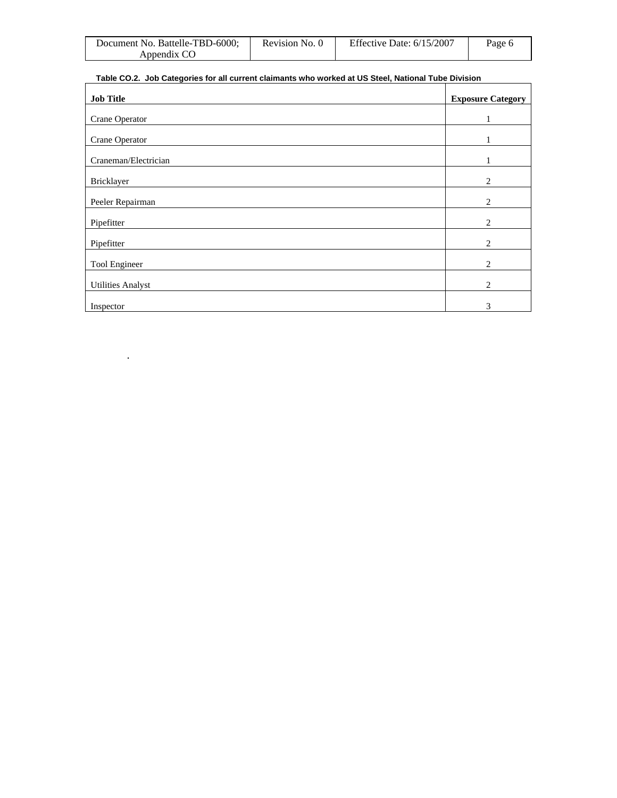| Document No. Battelle-TBD-6000; | Revision No. 0 | Effective Date: $6/15/2007$ | Page 6 |
|---------------------------------|----------------|-----------------------------|--------|
| Appendix CO                     |                |                             |        |

### **Table CO.2. Job Categories for all current claimants who worked at US Steel, National Tube Division**

| <b>Job Title</b>         | <b>Exposure Category</b> |
|--------------------------|--------------------------|
| Crane Operator           |                          |
| Crane Operator           |                          |
| Craneman/Electrician     |                          |
| Bricklayer               | 2                        |
| Peeler Repairman         | 2                        |
| Pipefitter               | 2                        |
| Pipefitter               | 2                        |
| Tool Engineer            | 2                        |
| <b>Utilities Analyst</b> | 2                        |
| Inspector                | 3                        |

.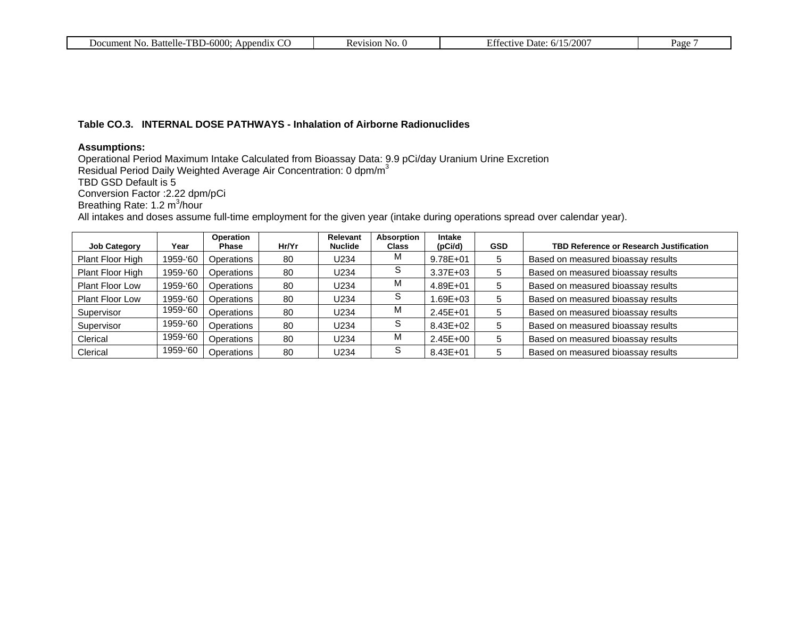| . Battelle-TBD-6000:<br>Document No.<br>σr<br>Appendix | NO.<br>Revision | Effective Date: 6/15/2007 | Page |
|--------------------------------------------------------|-----------------|---------------------------|------|
|                                                        |                 |                           |      |

#### **Table CO.3. INTERNAL DOSE PATHWAYS - Inhalation of Airborne Radionuclides**

#### **Assumptions:**

Operational Period Maximum Intake Calculated from Bioassay Data: 9.9 pCi/day Uranium Urine Excretion Residual Period Daily Weighted Average Air Concentration: 0 dpm/m $^3$ 

TBD GSD Default is 5

Conversion Factor :2.22 dpm/pCi

Breathing Rate: 1.2 m<sup>3</sup>/hour

All intakes and doses assume full-time employment for the given year (intake during operations spread over calendar year).

| <b>Job Category</b>    | Year     | Operation<br><b>Phase</b> | Hr/Yr | Relevant<br><b>Nuclide</b> | Absorption<br><b>Class</b> | <b>Intake</b><br>(pCi/d) | <b>GSD</b> | <b>TBD Reference or Research Justification</b> |
|------------------------|----------|---------------------------|-------|----------------------------|----------------------------|--------------------------|------------|------------------------------------------------|
| Plant Floor High       | 1959-'60 | Operations                | 80    | U234                       | M                          | 9.78E+01                 | 5          | Based on measured bioassay results             |
| Plant Floor High       | 1959-'60 | Operations                | 80    | U234                       | S                          | $3.37E + 03$             | 5          | Based on measured bioassay results             |
| Plant Floor Low        | 1959-'60 | Operations                | 80    | U234                       | M                          | 4.89E+01                 | 5          | Based on measured bioassay results             |
| <b>Plant Floor Low</b> | 1959-'60 | Operations                | 80    | U234                       | S                          | 1.69E+03                 | 5          | Based on measured bioassay results             |
| Supervisor             | 1959-'60 | Operations                | 80    | U234                       | M                          | $2.45E + 01$             | 5          | Based on measured bioassay results             |
| Supervisor             | 1959-'60 | Operations                | 80    | U234                       | S                          | 8.43E+02                 | 5          | Based on measured bioassay results             |
| Clerical               | 1959-'60 | Operations                | 80    | U234                       | M                          | $2.45E + 00$             | 5          | Based on measured bioassay results             |
| Clerical               | 1959-'60 | Operations                | 80    | U234                       | S                          | 8.43E+01                 | 5.         | Based on measured bioassay results             |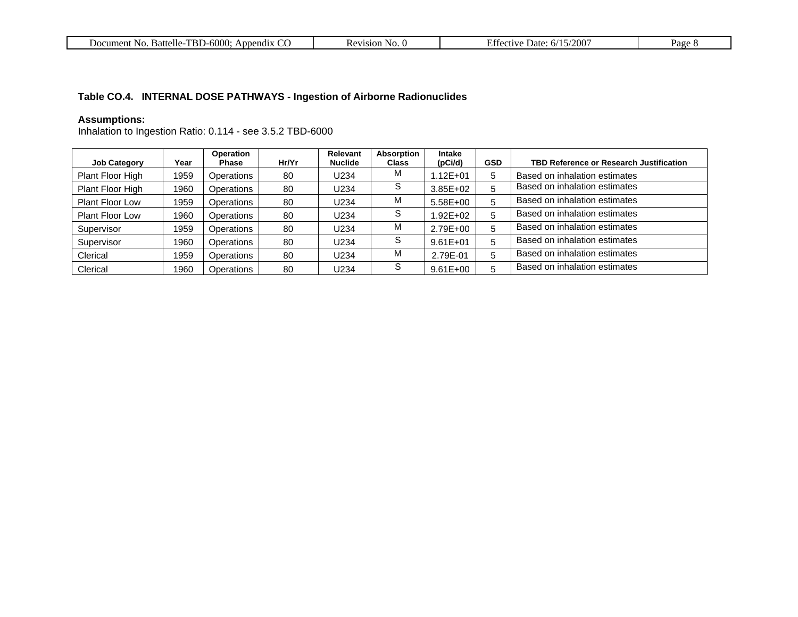| 6000<br><b>TDT</b><br>Battelle-<br>Document<br>-No.<br>endix<br>ADDU<br>- I Br.<br>$-1$ | 71S1ON<br>… | 200<br>Date<br>activa<br>n/ | age |
|-----------------------------------------------------------------------------------------|-------------|-----------------------------|-----|
|-----------------------------------------------------------------------------------------|-------------|-----------------------------|-----|

## **Table CO.4. INTERNAL DOSE PATHWAYS - Ingestion of Airborne Radionuclides**

#### **Assumptions:**

Inhalation to Ingestion Ratio: 0.114 - see 3.5.2 TBD-6000

| <b>Job Category</b>    | Year | <b>Operation</b><br><b>Phase</b> | Hr/Yr | <b>Relevant</b><br><b>Nuclide</b> | Absorption<br><b>Class</b> | Intake<br>(pCi/d) | <b>GSD</b> | <b>TBD Reference or Research Justification</b> |
|------------------------|------|----------------------------------|-------|-----------------------------------|----------------------------|-------------------|------------|------------------------------------------------|
| Plant Floor High       | 1959 | Operations                       | 80    | U234                              | М                          | $.12E + 01$       | 5          | Based on inhalation estimates                  |
| Plant Floor High       | 1960 | Operations                       | 80    | U234                              | S                          | $3.85E + 02$      | 5          | Based on inhalation estimates                  |
| <b>Plant Floor Low</b> | 1959 | Operations                       | 80    | U234                              | М                          | 5.58E+00          | 5          | Based on inhalation estimates                  |
| Plant Floor Low        | 1960 | Operations                       | 80    | U234                              | S                          | $.92E + 02$       | 5          | Based on inhalation estimates                  |
| Supervisor             | 1959 | Operations                       | 80    | U234                              | М                          | 2.79E+00          | 5          | Based on inhalation estimates                  |
| Supervisor             | 1960 | Operations                       | 80    | U234                              | S                          | $9.61E + 01$      | 5          | Based on inhalation estimates                  |
| Clerical               | 1959 | Operations                       | 80    | U234                              | М                          | 2.79E-01          | 5          | Based on inhalation estimates                  |
| Clerical               | 1960 | Operations                       | 80    | U234                              | S                          | $9.61E + 00$      | 5          | Based on inhalation estimates                  |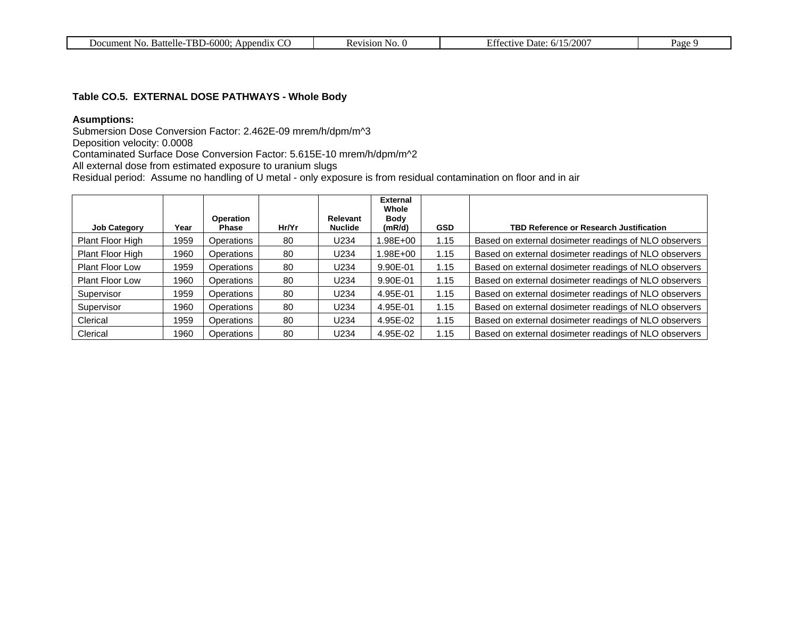| IN C | Document No.<br>. Battelle-TBD-6000:<br>~<br>Append <sub>1X</sub> | Kevision-<br>- No. 0 | .5/2001<br>Effective<br>6/15/<br>Date: | Page 9 |
|------|-------------------------------------------------------------------|----------------------|----------------------------------------|--------|
|------|-------------------------------------------------------------------|----------------------|----------------------------------------|--------|

#### **Table CO.5. EXTERNAL DOSE PATHWAYS - Whole Body**

## **Asumptions:**

Submersion Dose Conversion Factor: 2.462E-09 mrem/h/dpm/m^3

Deposition velocity: 0.0008

Contaminated Surface Dose Conversion Factor: 5.615E-10 mrem/h/dpm/m^2

All external dose from estimated exposure to uranium slugs

Residual period: Assume no handling of U metal - only exposure is from residual contamination on floor and in air

|                        |      |                                  |       |                            | <b>External</b><br>Whole |            |                                                       |
|------------------------|------|----------------------------------|-------|----------------------------|--------------------------|------------|-------------------------------------------------------|
| <b>Job Category</b>    | Year | <b>Operation</b><br><b>Phase</b> | Hr/Yr | Relevant<br><b>Nuclide</b> | <b>Body</b><br>(mR/d)    | <b>GSD</b> | <b>TBD Reference or Research Justification</b>        |
| Plant Floor High       | 1959 | Operations                       | 80    | U234                       | 1.98E+00                 | 1.15       | Based on external dosimeter readings of NLO observers |
| Plant Floor High       | 1960 | Operations                       | 80    | U234                       | .98E+00                  | 1.15       | Based on external dosimeter readings of NLO observers |
| <b>Plant Floor Low</b> | 1959 | Operations                       | 80    | U234                       | 9.90E-01                 | 1.15       | Based on external dosimeter readings of NLO observers |
| <b>Plant Floor Low</b> | 1960 | Operations                       | 80    | U234                       | 9.90E-01                 | 1.15       | Based on external dosimeter readings of NLO observers |
| Supervisor             | 1959 | Operations                       | 80    | U234                       | 4.95E-01                 | 1.15       | Based on external dosimeter readings of NLO observers |
| Supervisor             | 1960 | Operations                       | 80    | U234                       | 4.95E-01                 | 1.15       | Based on external dosimeter readings of NLO observers |
| Clerical               | 1959 | Operations                       | 80    | U234                       | 4.95E-02                 | 1.15       | Based on external dosimeter readings of NLO observers |
| Clerical               | 1960 | Operations                       | 80    | U234                       | 4.95E-02                 | 1.15       | Based on external dosimeter readings of NLO observers |